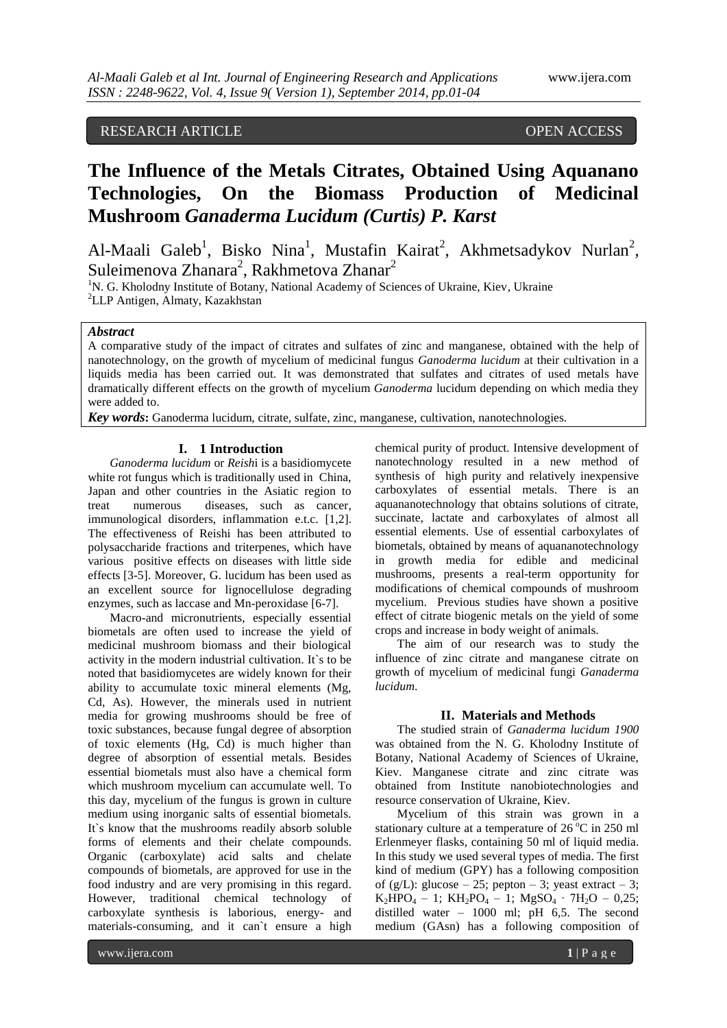## RESEARCH ARTICLE OPEN ACCESS

# **The Influence of the Metals Citrates, Obtained Using Aquanano Technologies, On the Biomass Production of Medicinal Mushroom** *Ganaderma Lucidum (Curtis) P. Karst*

Al-Maali Galeb<sup>1</sup>, Bisko Nina<sup>1</sup>, Mustafin Kairat<sup>2</sup>, Akhmetsadykov Nurlan<sup>2</sup>, Suleimenova Zhanara<sup>2</sup>, Rakhmetova Zhanar<sup>2</sup>

<sup>1</sup>N. G. Kholodny Institute of Botany, National Academy of Sciences of Ukraine, Kiev, Ukraine <sup>2</sup>LLP Antigen, Almaty, Kazakhstan

#### *Abstract*

A comparative study of the impact of citrates and sulfates of zinc and manganese, obtained with the help of nanotechnology, on the growth of mycelium of medicinal fungus *Ganoderma lucidum* at their cultivation in a liquids media has been carried out. It was demonstrated that sulfates and citrates of used metals have dramatically different effects on the growth of mycelium *Ganoderma* lucidum depending on which media they were added to.

*Key words***:** Ganoderma lucidum, citrate, sulfate, zinc, manganese, cultivation, nanotechnologies.

### **I. 1 Introduction**

*Ganoderma lucidum* or *Reish*i is a basidiomycete white rot fungus which is traditionally used in China, Japan and other countries in the Asiatic region to treat numerous diseases, such as cancer, immunological disorders, inflammation e.t.c. [\[1,2\].](http://www.ncbi.nlm.nih.gov/pmc/articles/PMC3585368/#pone.0057431-Chen1) The effectiveness of Reishi has been attributed to polysaccharide fractions and triterpenes, which have various positive effects on diseases with little side effects [\[3-](http://www.ncbi.nlm.nih.gov/pmc/articles/PMC3428325/#pone.0044031-Sanodiya1)5]. Moreover, G. lucidum has been used as an excellent source for lignocellulose degrading enzymes, such as laccase and Mn-peroxidase [6-7].

Macro-and micronutrients, especially essential biometals are often used to increase the yield of medicinal mushroom biomass and their biological activity in the modern industrial cultivation. It`s to be noted that basidiomycetes are widely known for their ability to accumulate toxic mineral elements (Mg, Cd, As). However, the minerals used in nutrient media for growing mushrooms should be free of toxic substances, because fungal degree of absorption of toxic elements (Hg, Cd) is much higher than degree of absorption of essential metals. Besides essential biometals must also have a chemical form which mushroom mycelium can accumulate well. To this day, mycelium of the fungus is grown in culture medium using inorganic salts of essential biometals. It's know that the mushrooms readily absorb soluble forms of elements and their chelate compounds. Organic (carboxylate) acid salts and chelate compounds of biometals, are approved for use in the food industry and are very promising in this regard. However, traditional chemical technology of carboxylate synthesis is laborious, energy- and materials-consuming, and it can`t ensure a high

chemical purity of product. Intensive development of nanotechnology resulted in a new method of synthesis of high purity and relatively inexpensive carboxylates of essential metals. There is an aquananotechnology that obtains solutions of citrate, succinate, lactate and carboxylates of almost all essential elements. Use of essential carboxylates of biometals, obtained by means of aquananotechnology in growth media for edible and medicinal mushrooms, presents a real-term opportunity for modifications of chemical compounds of mushroom mycelium. Previous studies have shown a positive effect of citrate biogenic metals on the yield of some crops and increase in body weight of animals.

The aim of our research was to study the influence of zinc citrate and manganese citrate on growth of mycelium of medicinal fungi *Ganaderma lucidum*.

### **II. Materials and Methods**

The studied strain of *Ganaderma lucidum 1900* was obtained from the N. G. Kholodny Institute of Botany, National Academy of Sciences of Ukraine, Kiev. Manganese citrate and zinc citrate was obtained from Institute nanobiotechnologies and resource conservation of Ukraine, Kiev.

Mycelium of this strain was grown in a stationary culture at a temperature of  $26^{\circ}$ C in  $250$  ml Erlenmeyer flasks, containing 50 ml of liquid media. In this study we used several types of media. The first kind of medium (GPY) has a following composition of (g/L): glucose  $-25$ ; pepton  $-3$ ; yeast extract  $-3$ ;  $K_2HPO_4 - 1$ ;  $KH_2PO_4 - 1$ ;  $MgSO_4 \cdot 7H_2O - 0.25$ ; distilled water – 1000 ml; pH 6,5. The second medium (GAsn) has a following composition of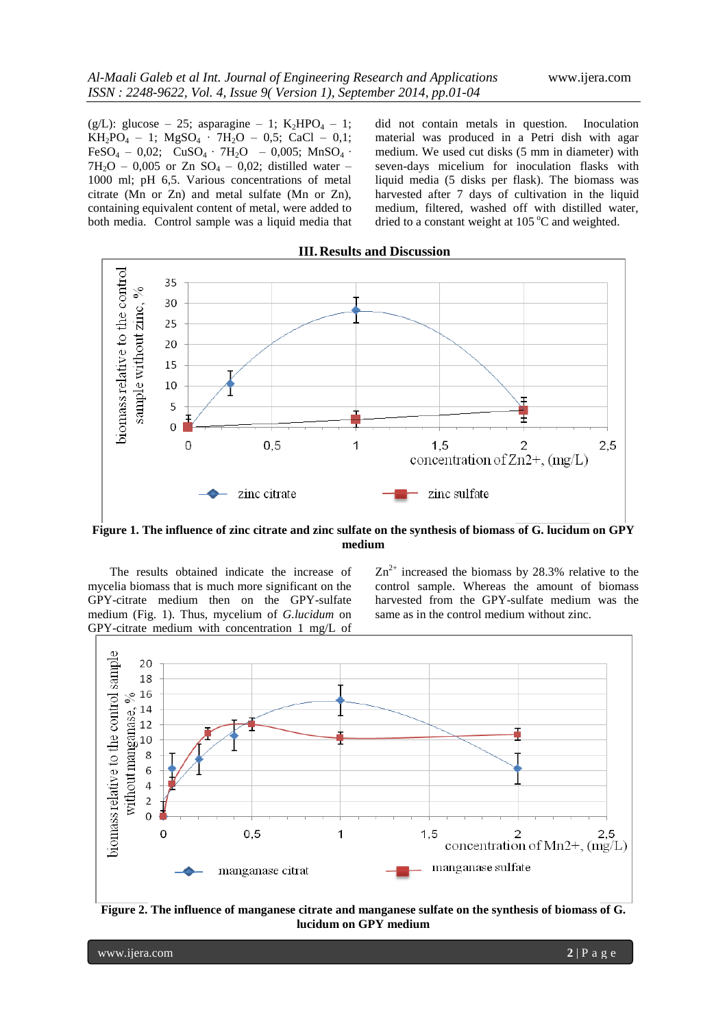(g/L): glucose – 25; asparagine – 1;  $K_2HPO_4$  – 1; KH<sub>2</sub>PO<sub>4</sub> – 1; MgSO<sub>4</sub> · 7H<sub>2</sub>O – 0,5; CaCl – 0,1; FeSO<sub>4</sub> – 0,02; CuSO<sub>4</sub> ⋅ 7H<sub>2</sub>O – 0,005; MnSO<sub>4</sub> ⋅  $7H_2O - 0.005$  or Zn  $SO_4 - 0.02$ ; distilled water – 1000 ml; pH 6,5. Various concentrations of metal citrate (Mn or Zn) and metal sulfate (Mn or Zn), containing equivalent content of metal, were added to both media. Control sample was a liquid media that

did not contain metals in question. Inoculation material was produced in a Petri dish with agar medium. We used cut disks (5 mm in diameter) with seven-days micelium for inoculation flasks with liquid media (5 disks per flask). The biomass was harvested after 7 days of cultivation in the liquid medium, filtered, washed off with distilled water, dried to a constant weight at  $105^{\circ}$ C and weighted.



**III.Results and Discussion**

**Figure 1. The influence of zinc citrate and zinc sulfate on the synthesis of biomass of G. lucidum on GPY medium**

The results obtained indicate the increase of mycelia biomass that is much more significant on the GPY-citrate medium then on the GPY-sulfate medium (Fig. 1). Thus, mycelium of *G.lucidum* on GPY-citrate medium with concentration 1 mg/L of

 $\text{Zn}^{2+}$  increased the biomass by 28.3% relative to the control sample. Whereas the amount of biomass harvested from the GPY-sulfate medium was the same as in the control medium without zinc.





www.ijera.com **2** | P a g e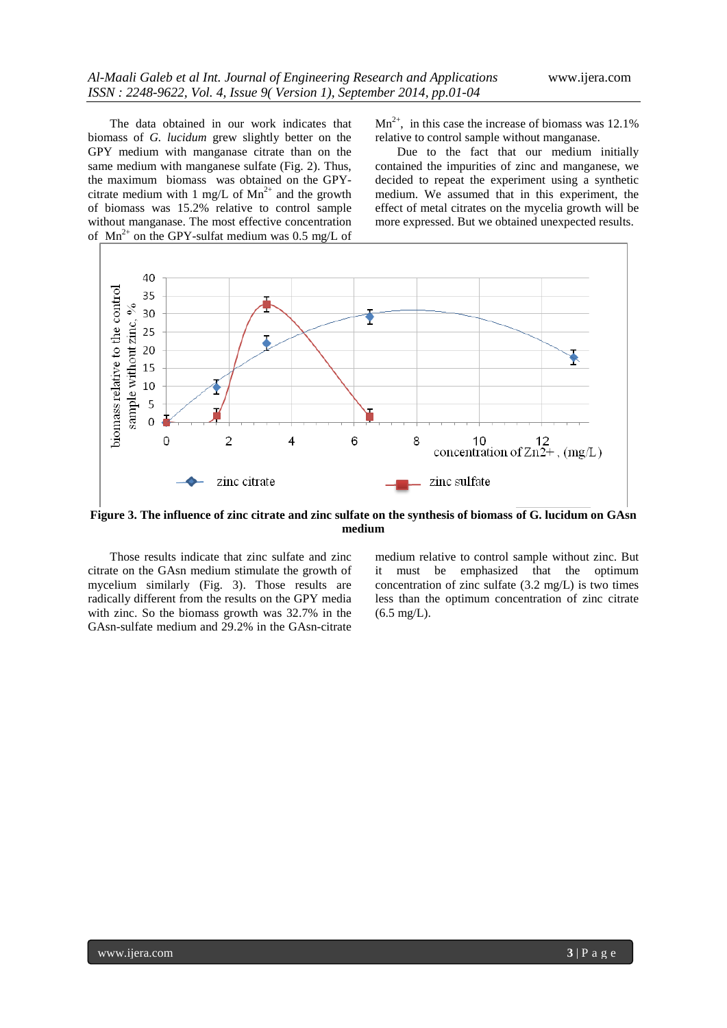The data obtained in our work indicates that biomass of *G. lucidum* grew slightly better on the GPY medium with manganase citrate than on the same medium with manganese sulfate (Fig. 2). Thus, the maximum biomass was obtained on the GPYcitrate medium with 1 mg/L of  $Mn^{2+}$  and the growth of biomass was 15.2% relative to control sample without manganase. The most effective concentration of  $Mn^{2+}$  on the GPY-sulfat medium was 0.5 mg/L of

 $Mn^{2+}$ , in this case the increase of biomass was 12.1% relative to control sample without manganase.

Due to the fact that our medium initially contained the impurities of zinc and manganese, we decided to repeat the experiment using a synthetic medium. We assumed that in this experiment, the effect of metal citrates on the mycelia growth will be more expressed. But we obtained unexpected results.



**Figure 3. The influence of zinc citrate and zinc sulfate on the synthesis of biomass of G. lucidum on GAsn medium**

Those results indicate that zinc sulfate and zinc citrate on the GAsn medium stimulate the growth of mycelium similarly (Fig. 3). Those results are radically different from the results on the GPY media with zinc. So the biomass growth was 32.7% in the GAsn-sulfate medium and 29.2% in the GAsn-citrate

medium relative to control sample without zinc. But it must be emphasized that the optimum concentration of zinc sulfate (3.2 mg/L) is two times less than the optimum concentration of zinc citrate  $(6.5 \text{ mg/L}).$